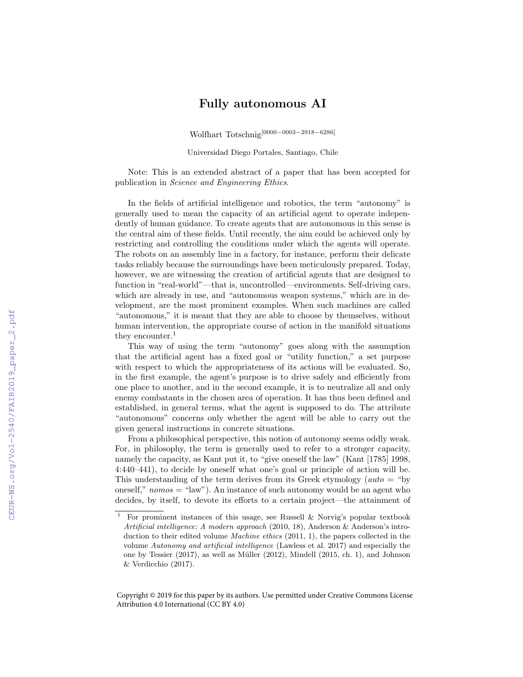## Fully autonomous AI

Wolfhart Totschnig[0000−0003−2918−6286]

Universidad Diego Portales, Santiago, Chile

Note: This is an extended abstract of a paper that has been accepted for publication in Science and Engineering Ethics.

In the fields of artificial intelligence and robotics, the term "autonomy" is generally used to mean the capacity of an artificial agent to operate independently of human guidance. To create agents that are autonomous in this sense is the central aim of these fields. Until recently, the aim could be achieved only by restricting and controlling the conditions under which the agents will operate. The robots on an assembly line in a factory, for instance, perform their delicate tasks reliably because the surroundings have been meticulously prepared. Today, however, we are witnessing the creation of artificial agents that are designed to function in "real-world"—that is, uncontrolled—environments. Self-driving cars, which are already in use, and "autonomous weapon systems," which are in development, are the most prominent examples. When such machines are called "autonomous," it is meant that they are able to choose by themselves, without human intervention, the appropriate course of action in the manifold situations they encounter.<sup>1</sup>

This way of using the term "autonomy" goes along with the assumption that the artificial agent has a fixed goal or "utility function," a set purpose with respect to which the appropriateness of its actions will be evaluated. So, in the first example, the agent's purpose is to drive safely and efficiently from one place to another, and in the second example, it is to neutralize all and only enemy combatants in the chosen area of operation. It has thus been defined and established, in general terms, what the agent is supposed to do. The attribute "autonomous" concerns only whether the agent will be able to carry out the given general instructions in concrete situations.

From a philosophical perspective, this notion of autonomy seems oddly weak. For, in philosophy, the term is generally used to refer to a stronger capacity, namely the capacity, as Kant put it, to "give oneself the law" (Kant [1785] 1998, 4:440–441), to decide by oneself what one's goal or principle of action will be. This understanding of the term derives from its Greek etymology (*auto* = "by") oneself,"  $nomos = "law"$ ). An instance of such autonomy would be an agent who decides, by itself, to devote its efforts to a certain project—the attainment of

Copyright © 2019 for this paper by its authors. Use permitted under Creative Commons License Attribution 4.0 International (CC BY 4.0)

For prominent instances of this usage, see Russell  $\&$  Norvig's popular textbook Artificial intelligence: A modern approach (2010, 18), Anderson & Anderson's introduction to their edited volume Machine ethics (2011, 1), the papers collected in the volume Autonomy and artificial intelligence (Lawless et al. 2017) and especially the one by Tessier  $(2017)$ , as well as Müller  $(2012)$ , Mindell  $(2015, ch. 1)$ , and Johnson & Verdicchio (2017).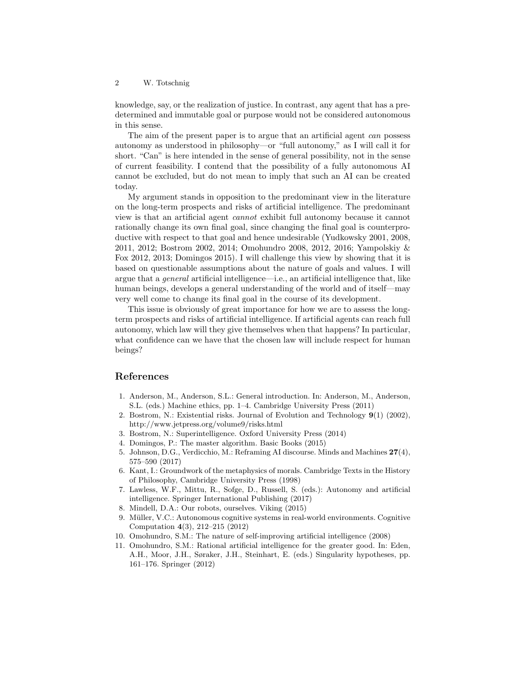knowledge, say, or the realization of justice. In contrast, any agent that has a predetermined and immutable goal or purpose would not be considered autonomous in this sense.

The aim of the present paper is to argue that an artificial agent can possess autonomy as understood in philosophy—or "full autonomy," as I will call it for short. "Can" is here intended in the sense of general possibility, not in the sense of current feasibility. I contend that the possibility of a fully autonomous AI cannot be excluded, but do not mean to imply that such an AI can be created today.

My argument stands in opposition to the predominant view in the literature on the long-term prospects and risks of artificial intelligence. The predominant view is that an artificial agent cannot exhibit full autonomy because it cannot rationally change its own final goal, since changing the final goal is counterproductive with respect to that goal and hence undesirable (Yudkowsky 2001, 2008, 2011, 2012; Bostrom 2002, 2014; Omohundro 2008, 2012, 2016; Yampolskiy & Fox 2012, 2013; Domingos 2015). I will challenge this view by showing that it is based on questionable assumptions about the nature of goals and values. I will argue that a general artificial intelligence—i.e., an artificial intelligence that, like human beings, develops a general understanding of the world and of itself—may very well come to change its final goal in the course of its development.

This issue is obviously of great importance for how we are to assess the longterm prospects and risks of artificial intelligence. If artificial agents can reach full autonomy, which law will they give themselves when that happens? In particular, what confidence can we have that the chosen law will include respect for human beings?

## References

- 1. Anderson, M., Anderson, S.L.: General introduction. In: Anderson, M., Anderson, S.L. (eds.) Machine ethics, pp. 1–4. Cambridge University Press (2011)
- 2. Bostrom, N.: Existential risks. Journal of Evolution and Technology 9(1) (2002), http://www.jetpress.org/volume9/risks.html
- 3. Bostrom, N.: Superintelligence. Oxford University Press (2014)
- 4. Domingos, P.: The master algorithm. Basic Books (2015)
- 5. Johnson, D.G., Verdicchio, M.: Reframing AI discourse. Minds and Machines 27(4), 575–590 (2017)
- 6. Kant, I.: Groundwork of the metaphysics of morals. Cambridge Texts in the History of Philosophy, Cambridge University Press (1998)
- 7. Lawless, W.F., Mittu, R., Sofge, D., Russell, S. (eds.): Autonomy and artificial intelligence. Springer International Publishing (2017)
- 8. Mindell, D.A.: Our robots, ourselves. Viking (2015)
- 9. Müller, V.C.: Autonomous cognitive systems in real-world environments. Cognitive Computation 4(3), 212–215 (2012)
- 10. Omohundro, S.M.: The nature of self-improving artificial intelligence (2008)
- 11. Omohundro, S.M.: Rational artificial intelligence for the greater good. In: Eden, A.H., Moor, J.H., Søraker, J.H., Steinhart, E. (eds.) Singularity hypotheses, pp. 161–176. Springer (2012)